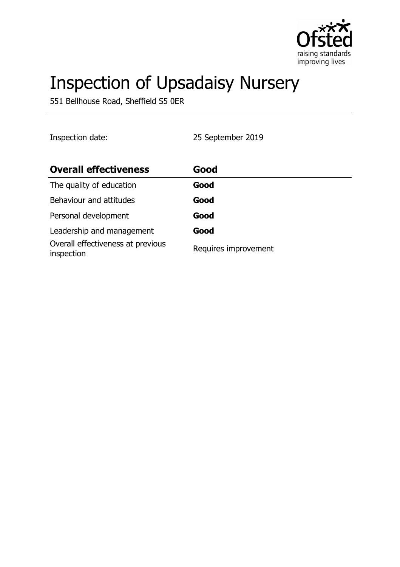

# Inspection of Upsadaisy Nursery

551 Bellhouse Road, Sheffield S5 0ER

Inspection date: 25 September 2019 **Overall effectiveness by Good** The quality of education **Good** Behaviour and attitudes **Good** Personal development **Good** Leadership and management **Good** Overall effectiveness at previous Overall effectiveness at previous<br>inspection<br>Requires improvement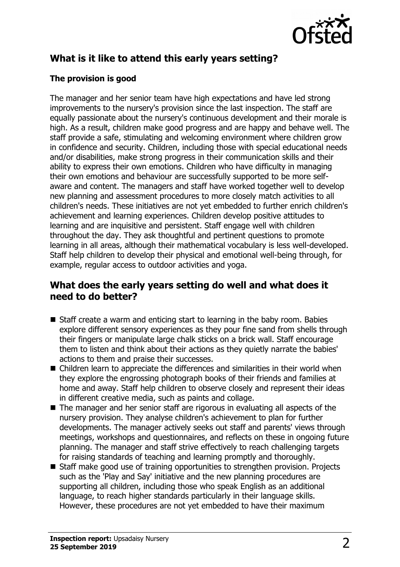

# **What is it like to attend this early years setting?**

## **The provision is good**

The manager and her senior team have high expectations and have led strong improvements to the nursery's provision since the last inspection. The staff are equally passionate about the nursery's continuous development and their morale is high. As a result, children make good progress and are happy and behave well. The staff provide a safe, stimulating and welcoming environment where children grow in confidence and security. Children, including those with special educational needs and/or disabilities, make strong progress in their communication skills and their ability to express their own emotions. Children who have difficulty in managing their own emotions and behaviour are successfully supported to be more selfaware and content. The managers and staff have worked together well to develop new planning and assessment procedures to more closely match activities to all children's needs. These initiatives are not yet embedded to further enrich children's achievement and learning experiences. Children develop positive attitudes to learning and are inquisitive and persistent. Staff engage well with children throughout the day. They ask thoughtful and pertinent questions to promote learning in all areas, although their mathematical vocabulary is less well-developed. Staff help children to develop their physical and emotional well-being through, for example, regular access to outdoor activities and yoga.

## **What does the early years setting do well and what does it need to do better?**

- $\blacksquare$  Staff create a warm and enticing start to learning in the baby room. Babies explore different sensory experiences as they pour fine sand from shells through their fingers or manipulate large chalk sticks on a brick wall. Staff encourage them to listen and think about their actions as they quietly narrate the babies' actions to them and praise their successes.
- $\blacksquare$  Children learn to appreciate the differences and similarities in their world when they explore the engrossing photograph books of their friends and families at home and away. Staff help children to observe closely and represent their ideas in different creative media, such as paints and collage.
- $\blacksquare$  The manager and her senior staff are rigorous in evaluating all aspects of the nursery provision. They analyse children's achievement to plan for further developments. The manager actively seeks out staff and parents' views through meetings, workshops and questionnaires, and reflects on these in ongoing future planning. The manager and staff strive effectively to reach challenging targets for raising standards of teaching and learning promptly and thoroughly.
- Staff make good use of training opportunities to strengthen provision. Projects such as the 'Play and Say' initiative and the new planning procedures are supporting all children, including those who speak English as an additional language, to reach higher standards particularly in their language skills. However, these procedures are not yet embedded to have their maximum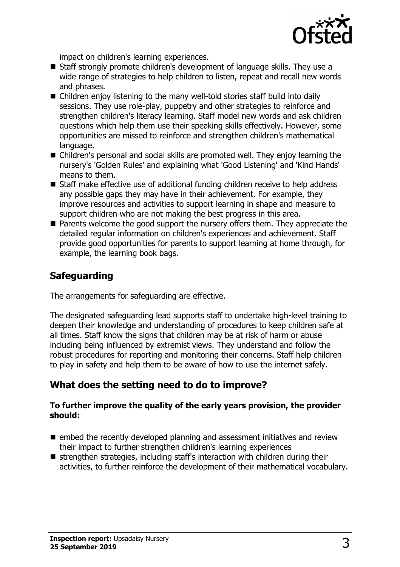

impact on children's learning experiences.

- Staff strongly promote children's development of language skills. They use a wide range of strategies to help children to listen, repeat and recall new words and phrases.
- $\blacksquare$  Children enjoy listening to the many well-told stories staff build into daily sessions. They use role-play, puppetry and other strategies to reinforce and strengthen children's literacy learning. Staff model new words and ask children questions which help them use their speaking skills effectively. However, some opportunities are missed to reinforce and strengthen children's mathematical language.
- Children's personal and social skills are promoted well. They enjoy learning the nursery's 'Golden Rules' and explaining what 'Good Listening' and 'Kind Hands' means to them.
- Staff make effective use of additional funding children receive to help address any possible gaps they may have in their achievement. For example, they improve resources and activities to support learning in shape and measure to support children who are not making the best progress in this area.
- $\blacksquare$  Parents welcome the good support the nursery offers them. They appreciate the detailed regular information on children's experiences and achievement. Staff provide good opportunities for parents to support learning at home through, for example, the learning book bags.

# **Safeguarding**

The arrangements for safeguarding are effective.

The designated safeguarding lead supports staff to undertake high-level training to deepen their knowledge and understanding of procedures to keep children safe at all times. Staff know the signs that children may be at risk of harm or abuse including being influenced by extremist views. They understand and follow the robust procedures for reporting and monitoring their concerns. Staff help children to play in safety and help them to be aware of how to use the internet safely.

## **What does the setting need to do to improve?**

#### **To further improve the quality of the early years provision, the provider should:**

- $\blacksquare$  embed the recently developed planning and assessment initiatives and review their impact to further strengthen children's learning experiences
- $\blacksquare$  strengthen strategies, including staff's interaction with children during their activities, to further reinforce the development of their mathematical vocabulary.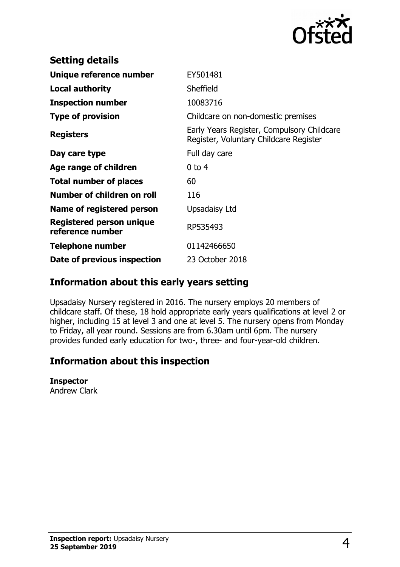

| EY501481                                                                             |
|--------------------------------------------------------------------------------------|
| Sheffield                                                                            |
| 10083716                                                                             |
| Childcare on non-domestic premises                                                   |
| Early Years Register, Compulsory Childcare<br>Register, Voluntary Childcare Register |
| Full day care                                                                        |
| $0$ to 4                                                                             |
| 60                                                                                   |
| 116                                                                                  |
| Upsadaisy Ltd                                                                        |
| RP535493                                                                             |
| 01142466650                                                                          |
| 23 October 2018                                                                      |
|                                                                                      |

## **Information about this early years setting**

Upsadaisy Nursery registered in 2016. The nursery employs 20 members of childcare staff. Of these, 18 hold appropriate early years qualifications at level 2 or higher, including 15 at level 3 and one at level 5. The nursery opens from Monday to Friday, all year round. Sessions are from 6.30am until 6pm. The nursery provides funded early education for two-, three- and four-year-old children.

# **Information about this inspection**

#### **Inspector**

Andrew Clark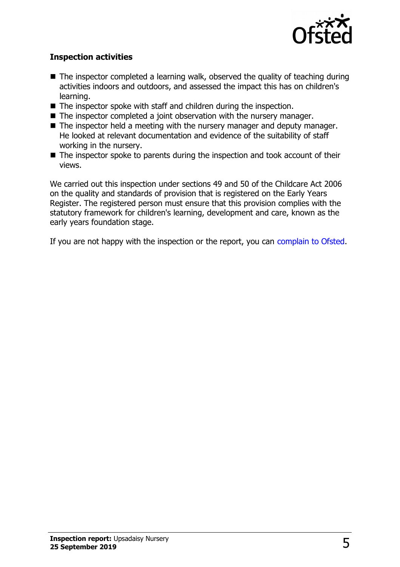

### **Inspection activities**

- $\blacksquare$  The inspector completed a learning walk, observed the quality of teaching during activities indoors and outdoors, and assessed the impact this has on children's learning.
- $\blacksquare$  The inspector spoke with staff and children during the inspection.
- $\blacksquare$  The inspector completed a joint observation with the nursery manager.
- $\blacksquare$  The inspector held a meeting with the nursery manager and deputy manager. He looked at relevant documentation and evidence of the suitability of staff working in the nursery.
- $\blacksquare$  The inspector spoke to parents during the inspection and took account of their views.

We carried out this inspection under sections 49 and 50 of the Childcare Act 2006 on the quality and standards of provision that is registered on the Early Years Register. The registered person must ensure that this provision complies with the statutory framework for children's learning, development and care, known as the early years foundation stage.

If you are not happy with the inspection or the report, you can [complain to Ofsted.](http://www.gov.uk/complain-ofsted-report)